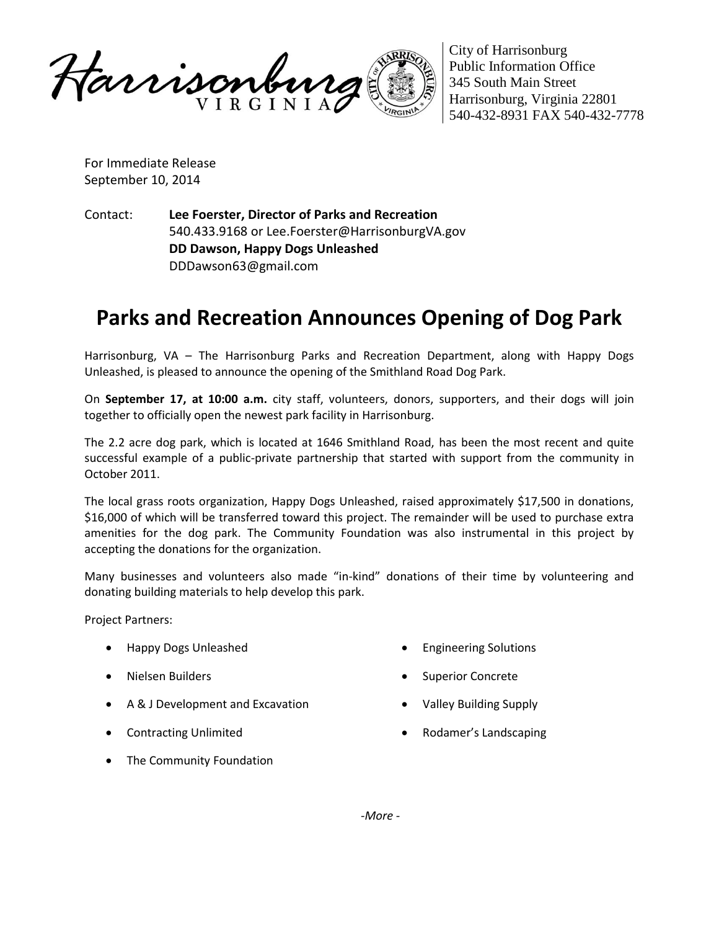

City of Harrisonburg Public Information Office 345 South Main Street Harrisonburg, Virginia 22801 540-432-8931 FAX 540-432-7778

For Immediate Release September 10, 2014

Contact: **Lee Foerster, Director of Parks and Recreation** 540.433.9168 or Lee.Foerster@HarrisonburgVA.gov **DD Dawson, Happy Dogs Unleashed** DDDawson63@gmail.com

## **Parks and Recreation Announces Opening of Dog Park**

Harrisonburg, VA – The Harrisonburg Parks and Recreation Department, along with Happy Dogs Unleashed, is pleased to announce the opening of the Smithland Road Dog Park.

On **September 17, at 10:00 a.m.** city staff, volunteers, donors, supporters, and their dogs will join together to officially open the newest park facility in Harrisonburg.

The 2.2 acre dog park, which is located at 1646 Smithland Road, has been the most recent and quite successful example of a public-private partnership that started with support from the community in October 2011.

The local grass roots organization, Happy Dogs Unleashed, raised approximately \$17,500 in donations, \$16,000 of which will be transferred toward this project. The remainder will be used to purchase extra amenities for the dog park. The Community Foundation was also instrumental in this project by accepting the donations for the organization.

Many businesses and volunteers also made "in-kind" donations of their time by volunteering and donating building materials to help develop this park.

Project Partners:

- Happy Dogs Unleashed
- Nielsen Builders
- A & J Development and Excavation
- Contracting Unlimited
- The Community Foundation
- Engineering Solutions
- Superior Concrete
- Valley Building Supply
- Rodamer's Landscaping